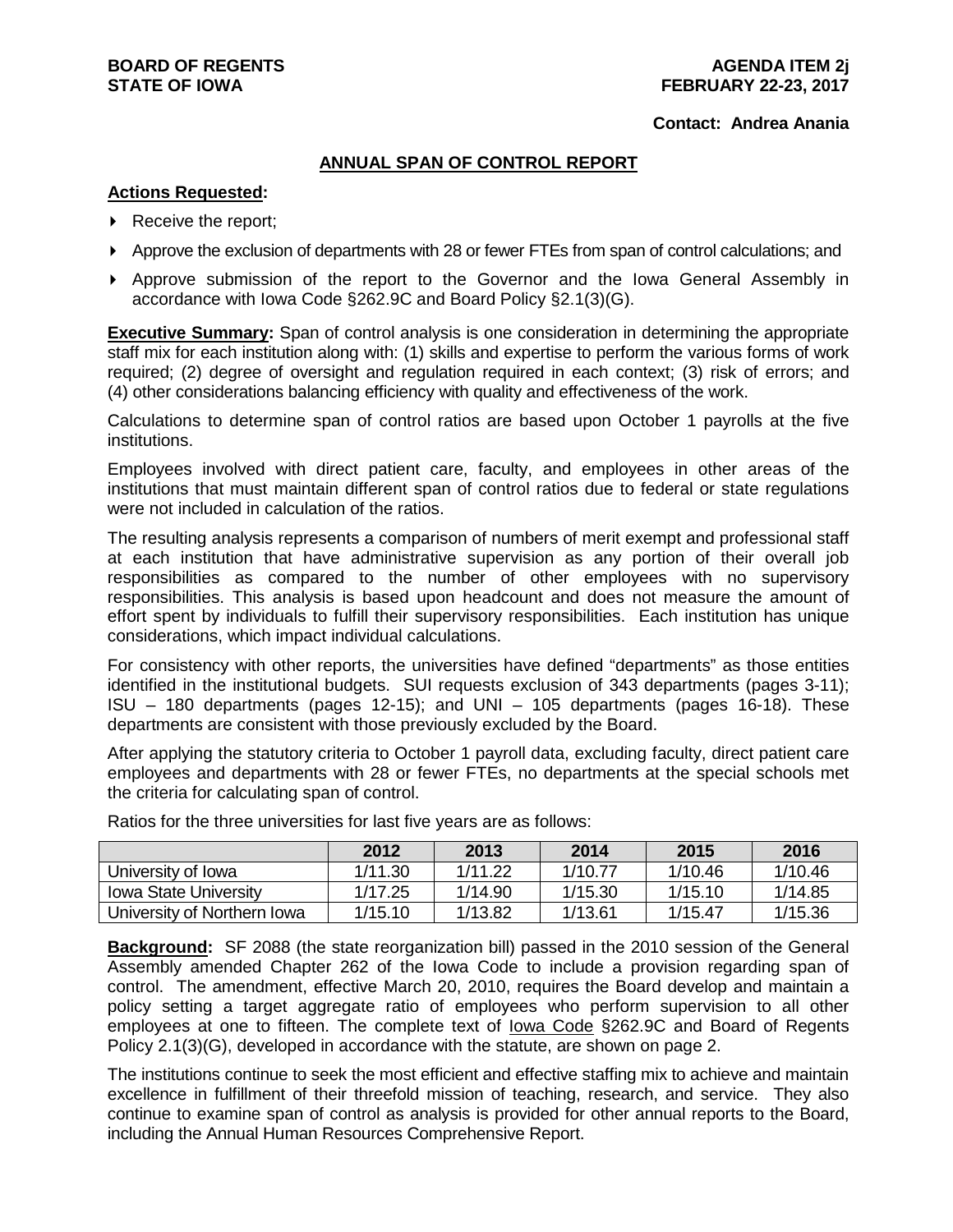#### **Contact: Andrea Anania**

### **ANNUAL SPAN OF CONTROL REPORT**

### **Actions Requested:**

- ▶ Receive the report;
- Approve the exclusion of departments with 28 or fewer FTEs from span of control calculations; and
- Approve submission of the report to the Governor and the Iowa General Assembly in accordance with Iowa Code §262.9C and Board Policy §2.1(3)(G).

**Executive Summary:** Span of control analysis is one consideration in determining the appropriate staff mix for each institution along with: (1) skills and expertise to perform the various forms of work required; (2) degree of oversight and regulation required in each context; (3) risk of errors; and (4) other considerations balancing efficiency with quality and effectiveness of the work.

Calculations to determine span of control ratios are based upon October 1 payrolls at the five institutions.

Employees involved with direct patient care, faculty, and employees in other areas of the institutions that must maintain different span of control ratios due to federal or state regulations were not included in calculation of the ratios.

The resulting analysis represents a comparison of numbers of merit exempt and professional staff at each institution that have administrative supervision as any portion of their overall job responsibilities as compared to the number of other employees with no supervisory responsibilities. This analysis is based upon headcount and does not measure the amount of effort spent by individuals to fulfill their supervisory responsibilities. Each institution has unique considerations, which impact individual calculations.

For consistency with other reports, the universities have defined "departments" as those entities identified in the institutional budgets. SUI requests exclusion of 343 departments (pages 3-11); ISU – 180 departments (pages 12-15); and UNI – 105 departments (pages 16-18). These departments are consistent with those previously excluded by the Board.

After applying the statutory criteria to October 1 payroll data, excluding faculty, direct patient care employees and departments with 28 or fewer FTEs, no departments at the special schools met the criteria for calculating span of control.

|                              | 2012    | 2013    | 2014    | 2015    | 2016    |
|------------------------------|---------|---------|---------|---------|---------|
| University of Iowa           | 1/11.30 | 1/11.22 | 1/10.77 | 1/10.46 | 1/10.46 |
| <b>Iowa State University</b> | 1/17.25 | 1/14.90 | 1/15.30 | 1/15.10 | 1/14.85 |
| University of Northern Iowa  | 1/15.10 | 1/13.82 | 1/13.61 | 1/15.47 | 1/15.36 |

Ratios for the three universities for last five years are as follows:

**Background:** SF 2088 (the state reorganization bill) passed in the 2010 session of the General Assembly amended Chapter 262 of the Iowa Code to include a provision regarding span of control. The amendment, effective March 20, 2010, requires the Board develop and maintain a policy setting a target aggregate ratio of employees who perform supervision to all other employees at one to fifteen. The complete text of Iowa Code §262.9C and Board of Regents Policy 2.1(3)(G), developed in accordance with the statute, are shown on page 2.

The institutions continue to seek the most efficient and effective staffing mix to achieve and maintain excellence in fulfillment of their threefold mission of teaching, research, and service. They also continue to examine span of control as analysis is provided for other annual reports to the Board, including the Annual Human Resources Comprehensive Report.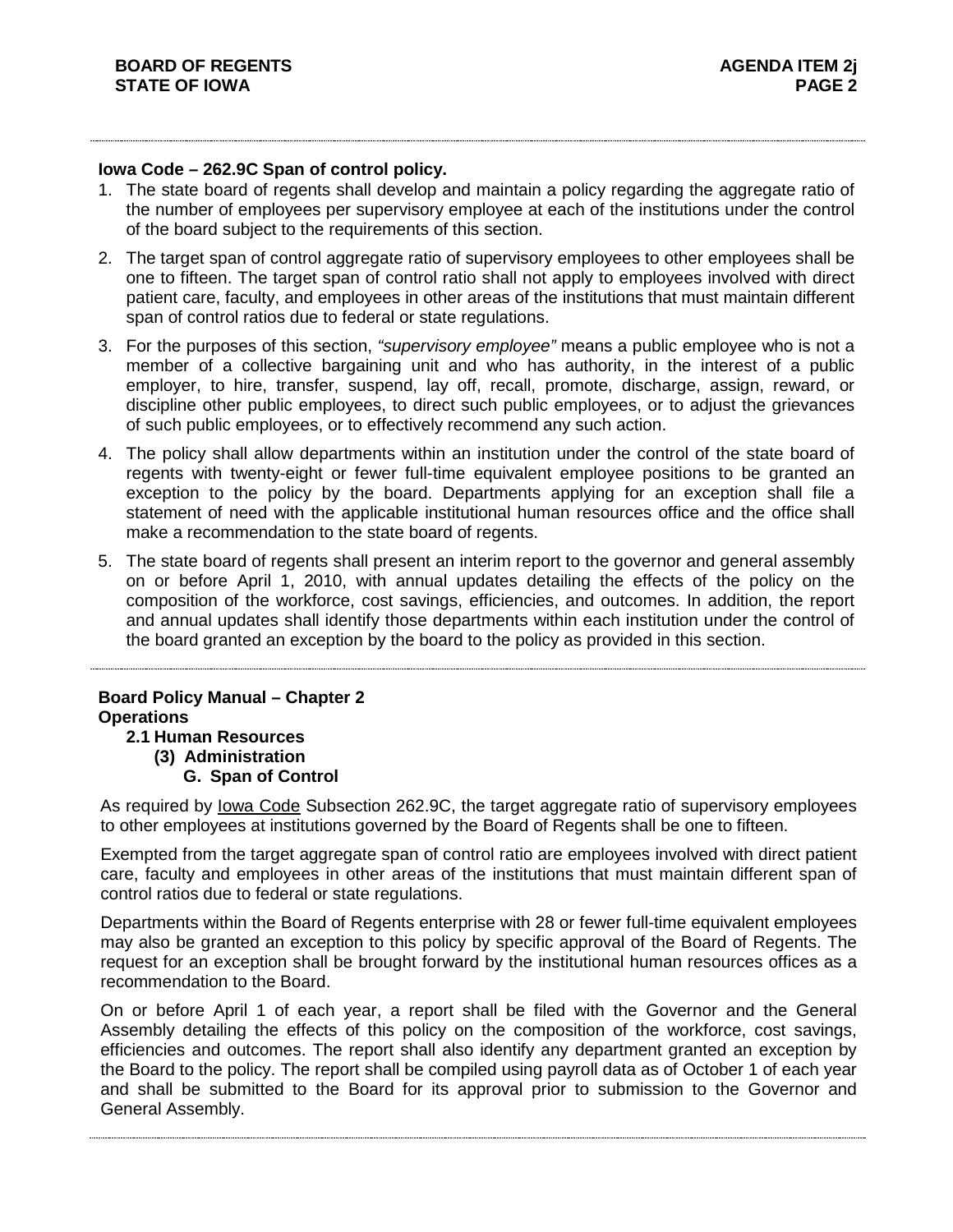### **Iowa Code – 262.9C Span of control policy.**

- 1. The state board of regents shall develop and maintain a policy regarding the aggregate ratio of the number of employees per supervisory employee at each of the institutions under the control of the board subject to the requirements of this section.
- 2. The target span of control aggregate ratio of supervisory employees to other employees shall be one to fifteen. The target span of control ratio shall not apply to employees involved with direct patient care, faculty, and employees in other areas of the institutions that must maintain different span of control ratios due to federal or state regulations.
- 3. For the purposes of this section, *"supervisory employee"* means a public employee who is not a member of a collective bargaining unit and who has authority, in the interest of a public employer, to hire, transfer, suspend, lay off, recall, promote, discharge, assign, reward, or discipline other public employees, to direct such public employees, or to adjust the grievances of such public employees, or to effectively recommend any such action.
- 4. The policy shall allow departments within an institution under the control of the state board of regents with twenty-eight or fewer full-time equivalent employee positions to be granted an exception to the policy by the board. Departments applying for an exception shall file a statement of need with the applicable institutional human resources office and the office shall make a recommendation to the state board of regents.
- 5. The state board of regents shall present an interim report to the governor and general assembly on or before April 1, 2010, with annual updates detailing the effects of the policy on the composition of the workforce, cost savings, efficiencies, and outcomes. In addition, the report and annual updates shall identify those departments within each institution under the control of the board granted an exception by the board to the policy as provided in this section.

### **Board Policy Manual – Chapter 2 Operations 2.1 Human Resources**

**(3) Administration G. Span of Control**

As required by Iowa Code Subsection 262.9C, the target aggregate ratio of supervisory employees to other employees at institutions governed by the Board of Regents shall be one to fifteen.

Exempted from the target aggregate span of control ratio are employees involved with direct patient care, faculty and employees in other areas of the institutions that must maintain different span of control ratios due to federal or state regulations.

Departments within the Board of Regents enterprise with 28 or fewer full-time equivalent employees may also be granted an exception to this policy by specific approval of the Board of Regents. The request for an exception shall be brought forward by the institutional human resources offices as a recommendation to the Board.

On or before April 1 of each year, a report shall be filed with the Governor and the General Assembly detailing the effects of this policy on the composition of the workforce, cost savings, efficiencies and outcomes. The report shall also identify any department granted an exception by the Board to the policy. The report shall be compiled using payroll data as of October 1 of each year and shall be submitted to the Board for its approval prior to submission to the Governor and General Assembly.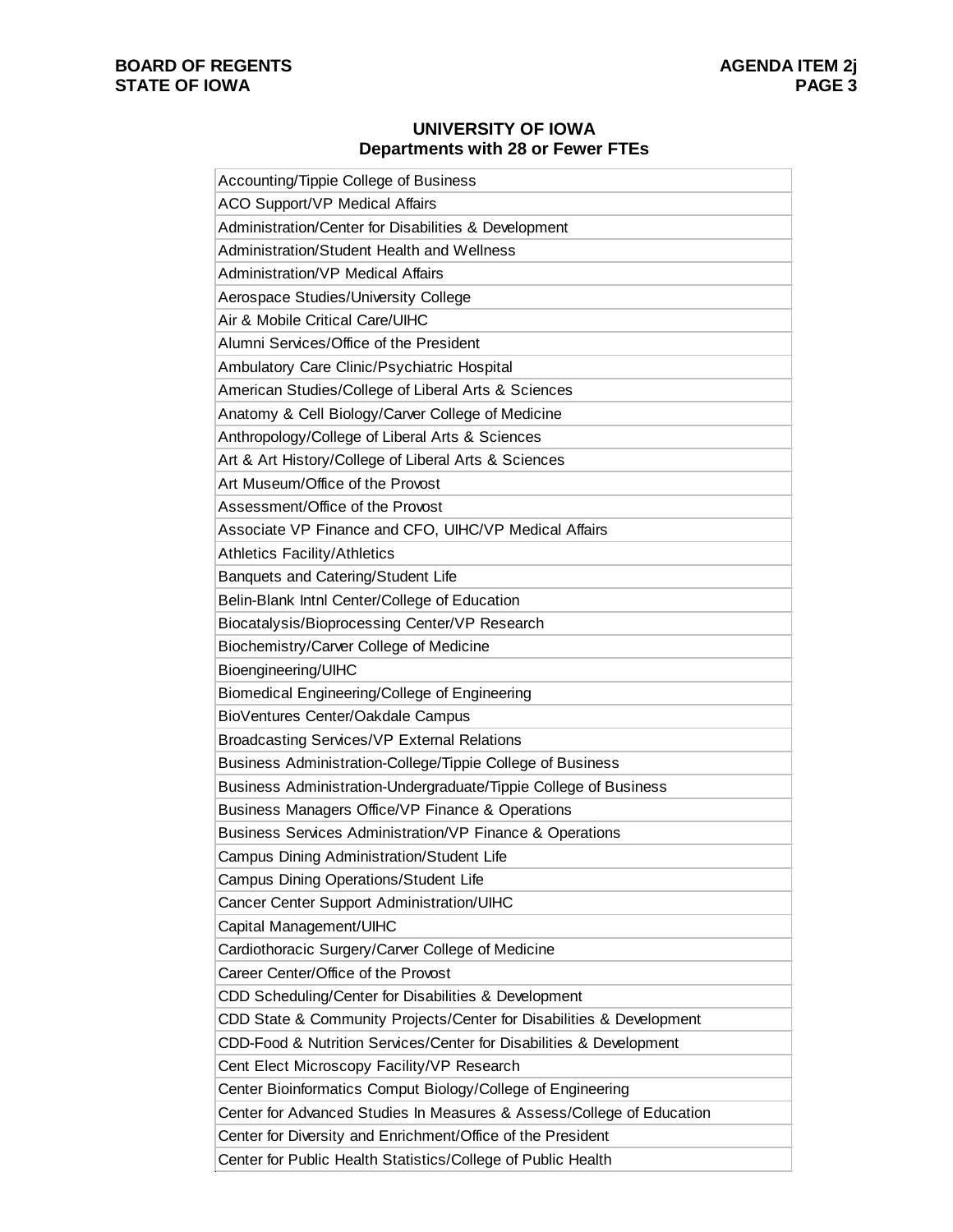# **BOARD OF REGENTS STATE OF IOWA**

## **UNIVERSITY OF IOWA Departments with 28 or Fewer FTEs**

| Accounting/Tippie College of Business                                 |
|-----------------------------------------------------------------------|
| <b>ACO Support/VP Medical Affairs</b>                                 |
| Administration/Center for Disabilities & Development                  |
| Administration/Student Health and Wellness                            |
| <b>Administration/VP Medical Affairs</b>                              |
| Aerospace Studies/University College                                  |
| Air & Mobile Critical Care/UIHC                                       |
| Alumni Services/Office of the President                               |
| Ambulatory Care Clinic/Psychiatric Hospital                           |
| American Studies/College of Liberal Arts & Sciences                   |
| Anatomy & Cell Biology/Carver College of Medicine                     |
| Anthropology/College of Liberal Arts & Sciences                       |
| Art & Art History/College of Liberal Arts & Sciences                  |
| Art Museum/Office of the Provost                                      |
| Assessment/Office of the Provost                                      |
| Associate VP Finance and CFO, UIHC/VP Medical Affairs                 |
| <b>Athletics Facility/Athletics</b>                                   |
| Banquets and Catering/Student Life                                    |
| Belin-Blank Intnl Center/College of Education                         |
| Biocatalysis/Bioprocessing Center/VP Research                         |
| Biochemistry/Carver College of Medicine                               |
| Bioengineering/UIHC                                                   |
| Biomedical Engineering/College of Engineering                         |
| BioVentures Center/Oakdale Campus                                     |
| <b>Broadcasting Services/VP External Relations</b>                    |
| Business Administration-College/Tippie College of Business            |
| Business Administration-Undergraduate/Tippie College of Business      |
| Business Managers Office/VP Finance & Operations                      |
| Business Services Administration/VP Finance & Operations              |
| Campus Dining Administration/Student Life                             |
| Campus Dining Operations/Student Life                                 |
| Cancer Center Support Administration/UIHC                             |
| Capital Management/UIHC                                               |
| Cardiothoracic Surgery/Carver College of Medicine                     |
| Career Center/Office of the Provost                                   |
| CDD Scheduling/Center for Disabilities & Development                  |
| CDD State & Community Projects/Center for Disabilities & Development  |
| CDD-Food & Nutrition Services/Center for Disabilities & Development   |
| Cent Elect Microscopy Facility/VP Research                            |
| Center Bioinformatics Comput Biology/College of Engineering           |
| Center for Advanced Studies In Measures & Assess/College of Education |
| Center for Diversity and Enrichment/Office of the President           |
| Center for Public Health Statistics/College of Public Health          |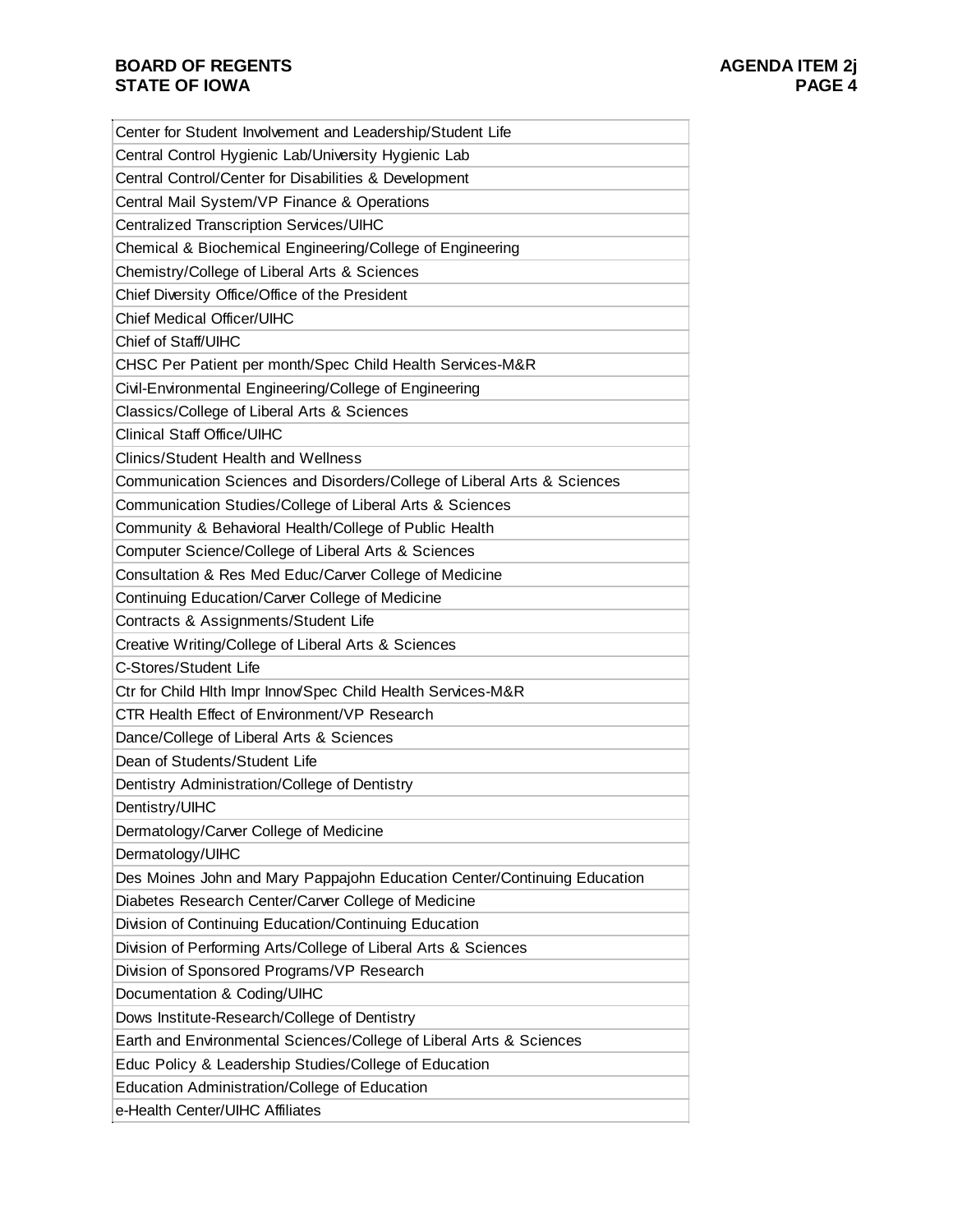| Center for Student Involvement and Leadership/Student Life               |
|--------------------------------------------------------------------------|
| Central Control Hygienic Lab/University Hygienic Lab                     |
| Central Control/Center for Disabilities & Development                    |
| Central Mail System/VP Finance & Operations                              |
| <b>Centralized Transcription Services/UIHC</b>                           |
| Chemical & Biochemical Engineering/College of Engineering                |
| Chemistry/College of Liberal Arts & Sciences                             |
| Chief Diversity Office/Office of the President                           |
| <b>Chief Medical Officer/UIHC</b>                                        |
| Chief of Staff/UIHC                                                      |
| CHSC Per Patient per month/Spec Child Health Services-M&R                |
| Civil-Environmental Engineering/College of Engineering                   |
| Classics/College of Liberal Arts & Sciences                              |
| <b>Clinical Staff Office/UIHC</b>                                        |
| <b>Clinics/Student Health and Wellness</b>                               |
| Communication Sciences and Disorders/College of Liberal Arts & Sciences  |
| Communication Studies/College of Liberal Arts & Sciences                 |
| Community & Behavioral Health/College of Public Health                   |
| Computer Science/College of Liberal Arts & Sciences                      |
| Consultation & Res Med Educ/Carver College of Medicine                   |
| Continuing Education/Carver College of Medicine                          |
| Contracts & Assignments/Student Life                                     |
| Creative Writing/College of Liberal Arts & Sciences                      |
| C-Stores/Student Life                                                    |
| Ctr for Child Hlth Impr Innov/Spec Child Health Services-M&R             |
| CTR Health Effect of Environment/VP Research                             |
| Dance/College of Liberal Arts & Sciences                                 |
| Dean of Students/Student Life                                            |
| Dentistry Administration/College of Dentistry                            |
| Dentistry/UIHC                                                           |
| Dermatology/Carver College of Medicine                                   |
| Dermatology/UIHC                                                         |
| Des Moines John and Mary Pappajohn Education Center/Continuing Education |
| Diabetes Research Center/Carver College of Medicine                      |
| Division of Continuing Education/Continuing Education                    |
| Division of Performing Arts/College of Liberal Arts & Sciences           |
| Division of Sponsored Programs/VP Research                               |
| Documentation & Coding/UIHC                                              |
| Dows Institute-Research/College of Dentistry                             |
| Earth and Environmental Sciences/College of Liberal Arts & Sciences      |
| Educ Policy & Leadership Studies/College of Education                    |
| <b>Education Administration/College of Education</b>                     |
| e-Health Center/UIHC Affiliates                                          |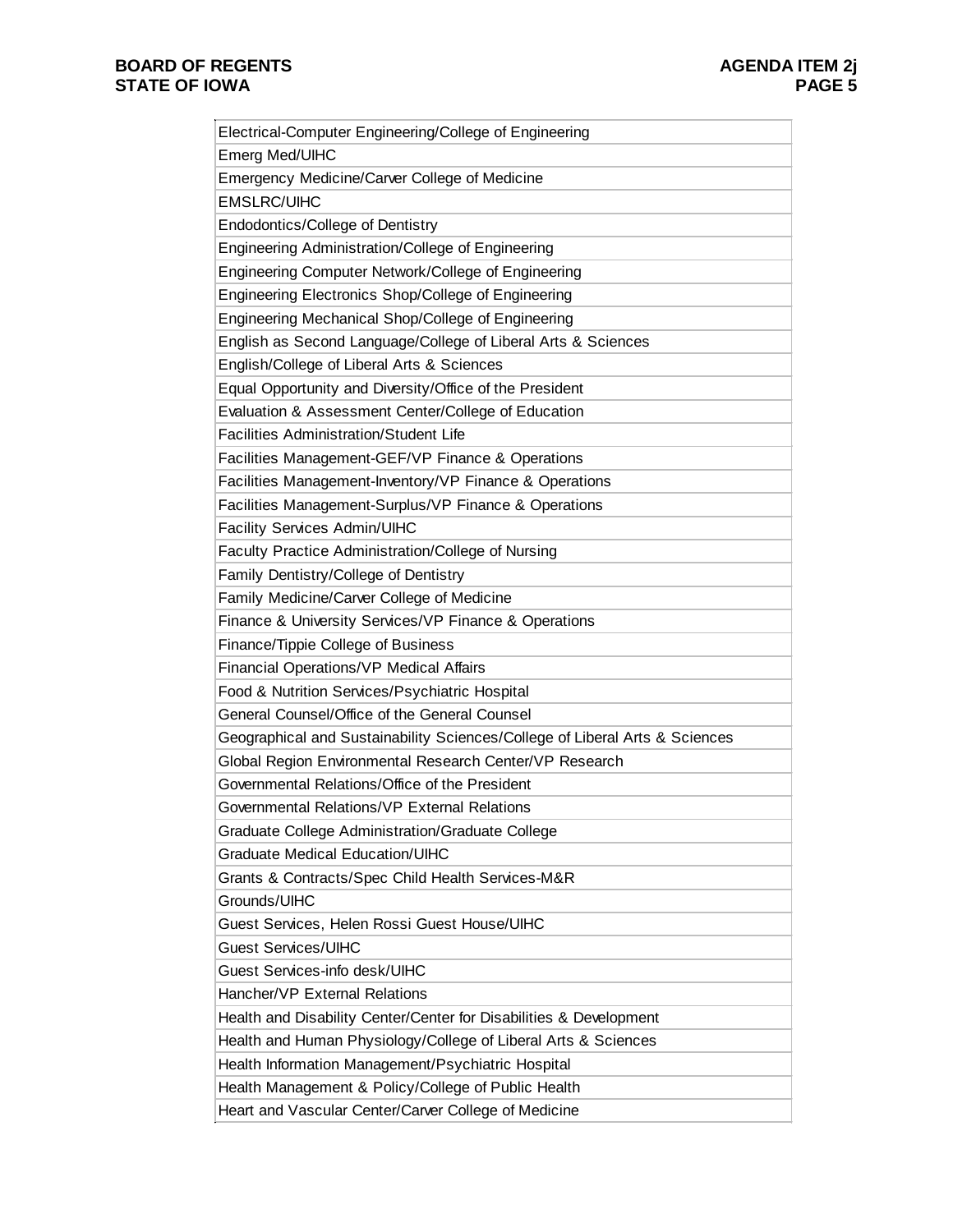$\overline{a}$ 

| Electrical-Computer Engineering/College of Engineering                      |
|-----------------------------------------------------------------------------|
| Emerg Med/UIHC                                                              |
| Emergency Medicine/Carver College of Medicine                               |
| <b>EMSLRC/UIHC</b>                                                          |
| Endodontics/College of Dentistry                                            |
| Engineering Administration/College of Engineering                           |
| Engineering Computer Network/College of Engineering                         |
| Engineering Electronics Shop/College of Engineering                         |
| Engineering Mechanical Shop/College of Engineering                          |
| English as Second Language/College of Liberal Arts & Sciences               |
| English/College of Liberal Arts & Sciences                                  |
| Equal Opportunity and Diversity/Office of the President                     |
| Evaluation & Assessment Center/College of Education                         |
| <b>Facilities Administration/Student Life</b>                               |
| Facilities Management-GEF/VP Finance & Operations                           |
| Facilities Management-Inventory/VP Finance & Operations                     |
| Facilities Management-Surplus/VP Finance & Operations                       |
| <b>Facility Services Admin/UIHC</b>                                         |
| Faculty Practice Administration/College of Nursing                          |
| Family Dentistry/College of Dentistry                                       |
| Family Medicine/Carver College of Medicine                                  |
| Finance & University Services/VP Finance & Operations                       |
| Finance/Tippie College of Business                                          |
| Financial Operations/VP Medical Affairs                                     |
| Food & Nutrition Services/Psychiatric Hospital                              |
| General Counsel/Office of the General Counsel                               |
| Geographical and Sustainability Sciences/College of Liberal Arts & Sciences |
| Global Region Environmental Research Center/VP Research                     |
| Governmental Relations/Office of the President                              |
| Governmental Relations/VP External Relations                                |
| Graduate College Administration/Graduate College                            |
| <b>Graduate Medical Education/UIHC</b>                                      |
| Grants & Contracts/Spec Child Health Services-M&R                           |
| Grounds/UIHC                                                                |
| Guest Services, Helen Rossi Guest House/UIHC                                |
| <b>Guest Services/UIHC</b>                                                  |
| Guest Services-info desk/UIHC                                               |
| Hancher/VP External Relations                                               |
| Health and Disability Center/Center for Disabilities & Development          |
| Health and Human Physiology/College of Liberal Arts & Sciences              |
| Health Information Management/Psychiatric Hospital                          |
| Health Management & Policy/College of Public Health                         |
| Heart and Vascular Center/Carver College of Medicine                        |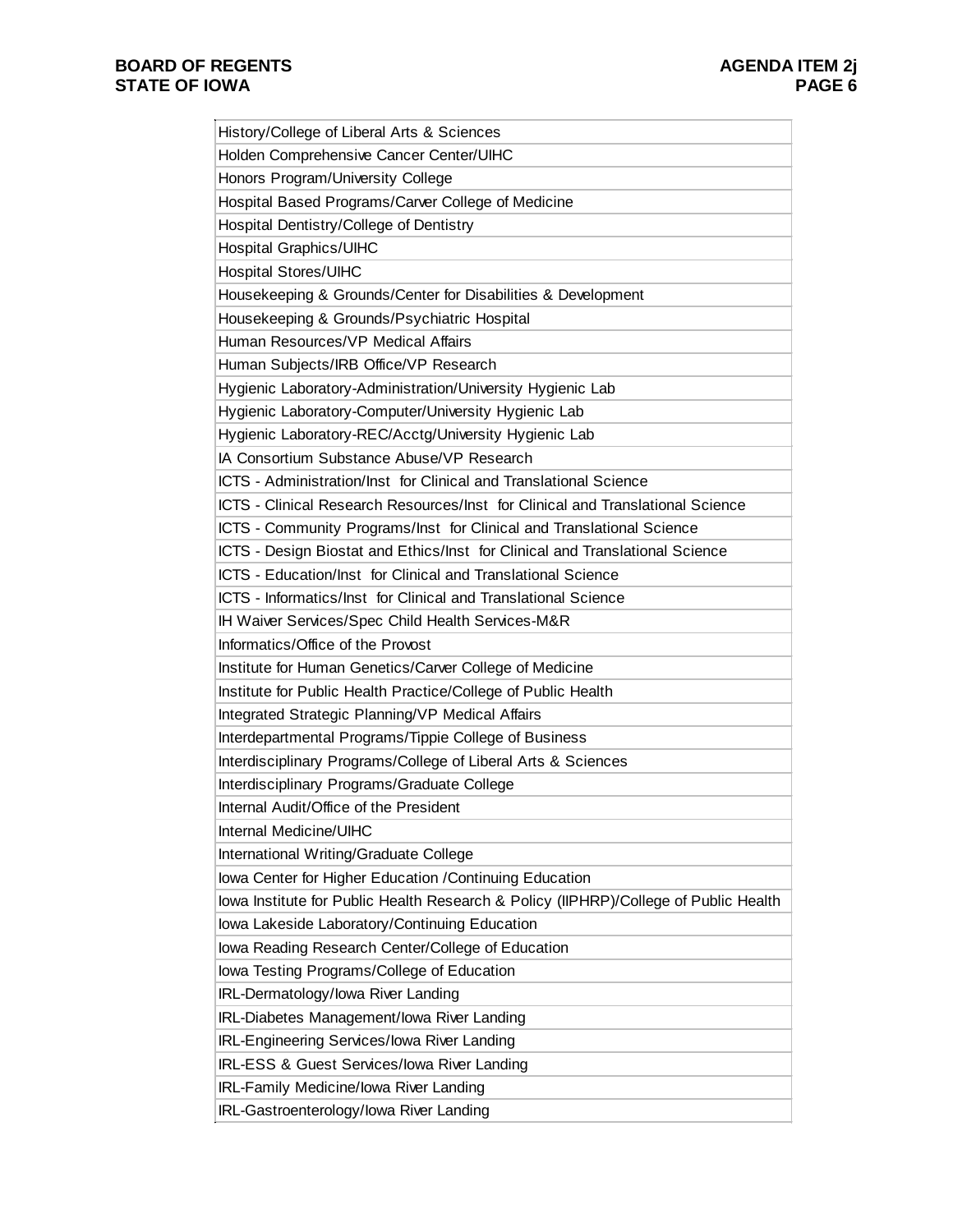| History/College of Liberal Arts & Sciences                                           |
|--------------------------------------------------------------------------------------|
| Holden Comprehensive Cancer Center/UIHC                                              |
| Honors Program/University College                                                    |
| Hospital Based Programs/Carver College of Medicine                                   |
| Hospital Dentistry/College of Dentistry                                              |
| Hospital Graphics/UIHC                                                               |
| <b>Hospital Stores/UIHC</b>                                                          |
| Housekeeping & Grounds/Center for Disabilities & Development                         |
| Housekeeping & Grounds/Psychiatric Hospital                                          |
| Human Resources/VP Medical Affairs                                                   |
| Human Subjects/IRB Office/VP Research                                                |
| Hygienic Laboratory-Administration/University Hygienic Lab                           |
| Hygienic Laboratory-Computer/University Hygienic Lab                                 |
| Hygienic Laboratory-REC/Acctg/University Hygienic Lab                                |
| IA Consortium Substance Abuse/VP Research                                            |
| ICTS - Administration/Inst for Clinical and Translational Science                    |
| ICTS - Clinical Research Resources/Inst for Clinical and Translational Science       |
| ICTS - Community Programs/Inst for Clinical and Translational Science                |
| ICTS - Design Biostat and Ethics/Inst for Clinical and Translational Science         |
| ICTS - Education/Inst for Clinical and Translational Science                         |
| ICTS - Informatics/Inst for Clinical and Translational Science                       |
| IH Waiver Services/Spec Child Health Services-M&R                                    |
| Informatics/Office of the Provost                                                    |
| Institute for Human Genetics/Carver College of Medicine                              |
| Institute for Public Health Practice/College of Public Health                        |
| Integrated Strategic Planning/VP Medical Affairs                                     |
| Interdepartmental Programs/Tippie College of Business                                |
| Interdisciplinary Programs/College of Liberal Arts & Sciences                        |
| Interdisciplinary Programs/Graduate College                                          |
| Internal Audit/Office of the President                                               |
| Internal Medicine/UIHC                                                               |
| International Writing/Graduate College                                               |
| Iowa Center for Higher Education / Continuing Education                              |
| lowa Institute for Public Health Research & Policy (IIPHRP)/College of Public Health |
| Iowa Lakeside Laboratory/Continuing Education                                        |
| lowa Reading Research Center/College of Education                                    |
| lowa Testing Programs/College of Education                                           |
| IRL-Dermatology/lowa River Landing                                                   |
| IRL-Diabetes Management/Iowa River Landing                                           |
| IRL-Engineering Services/lowa River Landing                                          |
| IRL-ESS & Guest Services/lowa River Landing                                          |
| IRL-Family Medicine/lowa River Landing                                               |
| IRL-Gastroenterology/lowa River Landing                                              |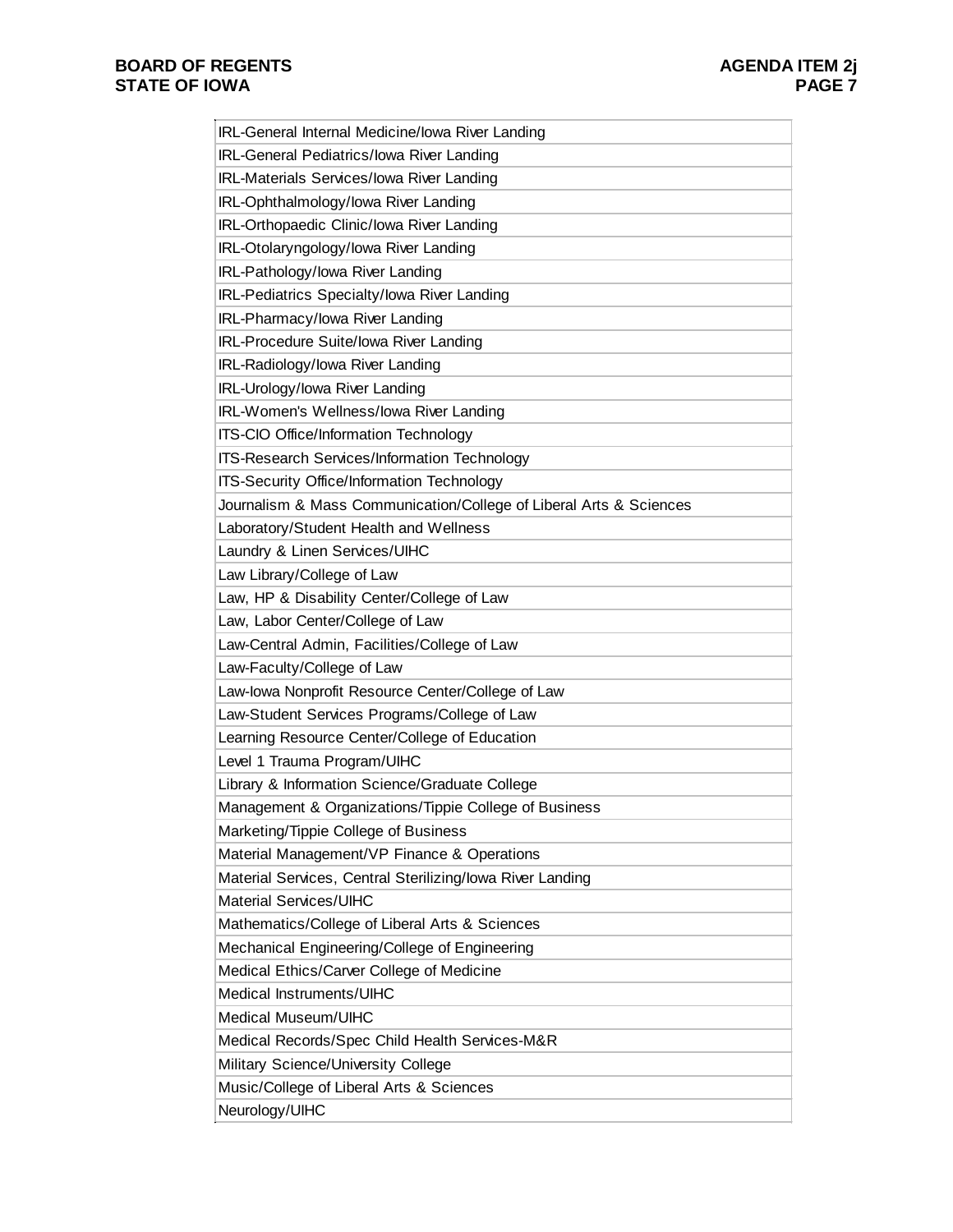| IRL-General Internal Medicine/Iowa River Landing                   |
|--------------------------------------------------------------------|
| IRL-General Pediatrics/lowa River Landing                          |
| IRL-Materials Services/lowa River Landing                          |
| IRL-Ophthalmology/lowa River Landing                               |
| IRL-Orthopaedic Clinic/Iowa River Landing                          |
| IRL-Otolaryngology/lowa River Landing                              |
| IRL-Pathology/lowa River Landing                                   |
| IRL-Pediatrics Specialty/lowa River Landing                        |
| IRL-Pharmacy/lowa River Landing                                    |
| IRL-Procedure Suite/Iowa River Landing                             |
| IRL-Radiology/lowa River Landing                                   |
| IRL-Urology/lowa River Landing                                     |
| IRL-Women's Wellness/lowa River Landing                            |
| ITS-CIO Office/Information Technology                              |
| <b>ITS-Research Services/Information Technology</b>                |
| ITS-Security Office/Information Technology                         |
| Journalism & Mass Communication/College of Liberal Arts & Sciences |
| Laboratory/Student Health and Wellness                             |
| Laundry & Linen Services/UIHC                                      |
| Law Library/College of Law                                         |
| Law, HP & Disability Center/College of Law                         |
| Law, Labor Center/College of Law                                   |
| Law-Central Admin, Facilities/College of Law                       |
| Law-Faculty/College of Law                                         |
| Law-lowa Nonprofit Resource Center/College of Law                  |
| Law-Student Services Programs/College of Law                       |
| Learning Resource Center/College of Education                      |
| Level 1 Trauma Program/UIHC                                        |
| Library & Information Science/Graduate College                     |
| Management & Organizations/Tippie College of Business              |
| Marketing/Tippie College of Business                               |
| Material Management/VP Finance & Operations                        |
| Material Services, Central Sterilizing/lowa River Landing          |
| <b>Material Services/UIHC</b>                                      |
| Mathematics/College of Liberal Arts & Sciences                     |
| Mechanical Engineering/College of Engineering                      |
| Medical Ethics/Carver College of Medicine                          |
| Medical Instruments/UIHC                                           |
| Medical Museum/UIHC                                                |
| Medical Records/Spec Child Health Services-M&R                     |
| Military Science/University College                                |
| Music/College of Liberal Arts & Sciences                           |
| Neurology/UIHC                                                     |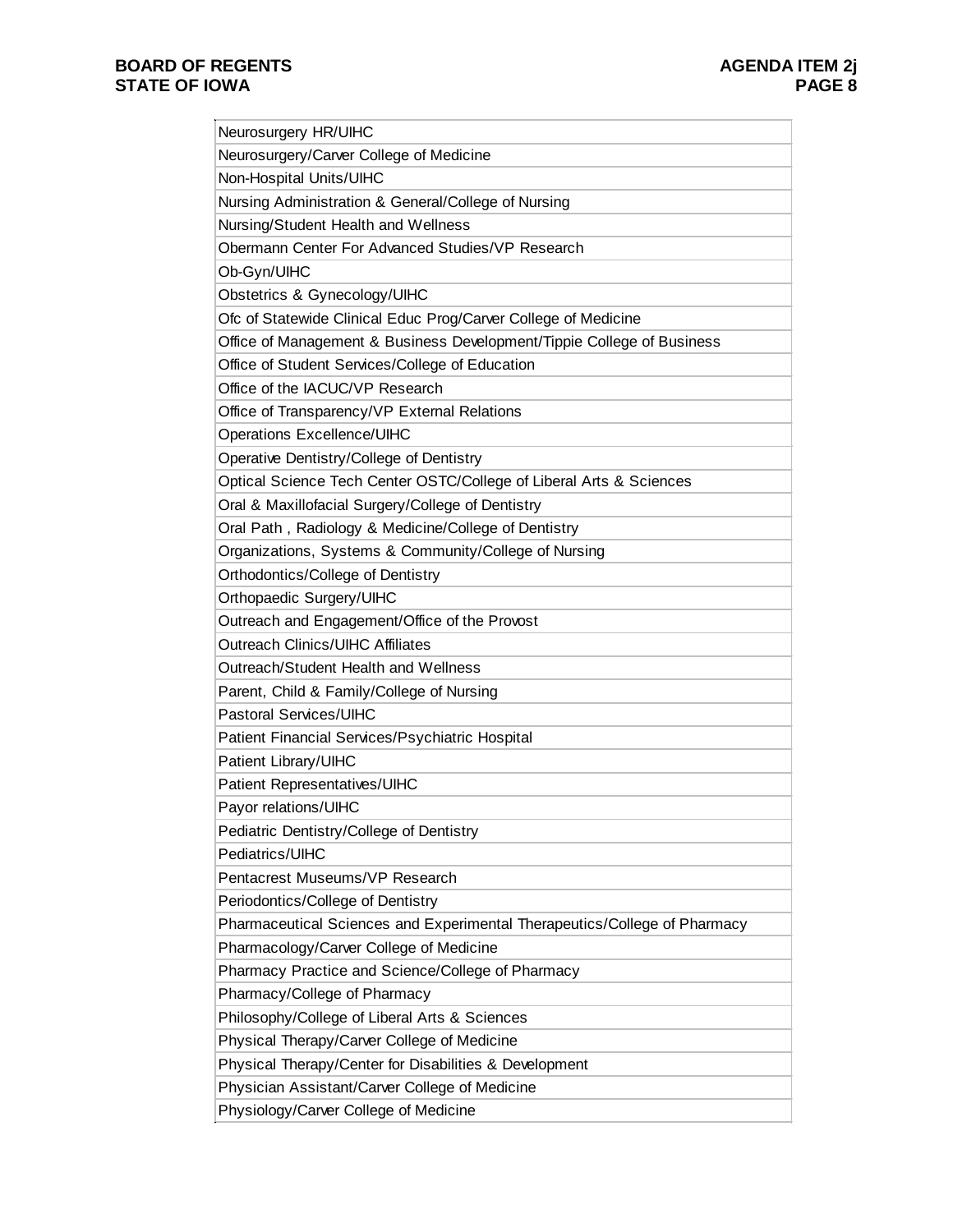| Neurosurgery HR/UIHC                                                      |
|---------------------------------------------------------------------------|
| Neurosurgery/Carver College of Medicine                                   |
| Non-Hospital Units/UIHC                                                   |
| Nursing Administration & General/College of Nursing                       |
| Nursing/Student Health and Wellness                                       |
| Obermann Center For Advanced Studies/VP Research                          |
| Ob-Gyn/UIHC                                                               |
| Obstetrics & Gynecology/UIHC                                              |
| Ofc of Statewide Clinical Educ Prog/Carver College of Medicine            |
| Office of Management & Business Development/Tippie College of Business    |
| Office of Student Services/College of Education                           |
| Office of the IACUC/VP Research                                           |
| Office of Transparency/VP External Relations                              |
| Operations Excellence/UIHC                                                |
| Operative Dentistry/College of Dentistry                                  |
| Optical Science Tech Center OSTC/College of Liberal Arts & Sciences       |
| Oral & Maxillofacial Surgery/College of Dentistry                         |
| Oral Path, Radiology & Medicine/College of Dentistry                      |
| Organizations, Systems & Community/College of Nursing                     |
| Orthodontics/College of Dentistry                                         |
| Orthopaedic Surgery/UIHC                                                  |
| Outreach and Engagement/Office of the Provost                             |
| <b>Outreach Clinics/UIHC Affiliates</b>                                   |
| Outreach/Student Health and Wellness                                      |
| Parent, Child & Family/College of Nursing                                 |
| <b>Pastoral Services/UIHC</b>                                             |
| Patient Financial Services/Psychiatric Hospital                           |
| Patient Library/UIHC                                                      |
| Patient Representatives/UIHC                                              |
| Payor relations/UIHC                                                      |
| Pediatric Dentistry/College of Dentistry                                  |
| Pediatrics/UIHC                                                           |
| Pentacrest Museums/VP Research                                            |
| Periodontics/College of Dentistry                                         |
| Pharmaceutical Sciences and Experimental Therapeutics/College of Pharmacy |
| Pharmacology/Carver College of Medicine                                   |
| Pharmacy Practice and Science/College of Pharmacy                         |
| Pharmacy/College of Pharmacy                                              |
| Philosophy/College of Liberal Arts & Sciences                             |
| Physical Therapy/Carver College of Medicine                               |
| Physical Therapy/Center for Disabilities & Development                    |
| Physician Assistant/Carver College of Medicine                            |
| Physiology/Carver College of Medicine                                     |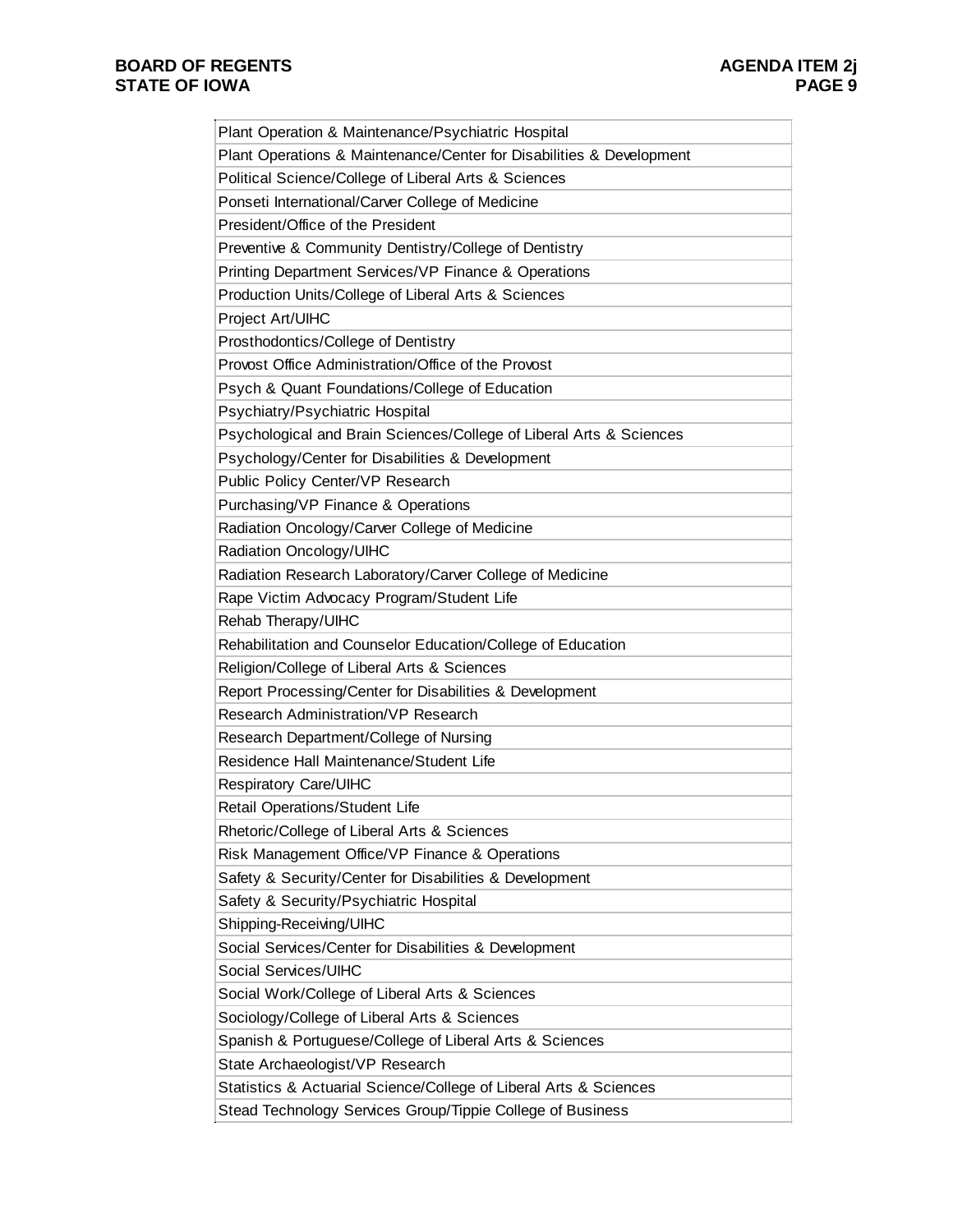| Plant Operation & Maintenance/Psychiatric Hospital                   |
|----------------------------------------------------------------------|
| Plant Operations & Maintenance/Center for Disabilities & Development |
| Political Science/College of Liberal Arts & Sciences                 |
| Ponseti International/Carver College of Medicine                     |
| President/Office of the President                                    |
| Preventive & Community Dentistry/College of Dentistry                |
| Printing Department Services/VP Finance & Operations                 |
| Production Units/College of Liberal Arts & Sciences                  |
| Project Art/UIHC                                                     |
| Prosthodontics/College of Dentistry                                  |
| Provost Office Administration/Office of the Provost                  |
| Psych & Quant Foundations/College of Education                       |
| Psychiatry/Psychiatric Hospital                                      |
| Psychological and Brain Sciences/College of Liberal Arts & Sciences  |
| Psychology/Center for Disabilities & Development                     |
| Public Policy Center/VP Research                                     |
| Purchasing/VP Finance & Operations                                   |
| Radiation Oncology/Carver College of Medicine                        |
| Radiation Oncology/UIHC                                              |
| Radiation Research Laboratory/Carver College of Medicine             |
| Rape Victim Advocacy Program/Student Life                            |
| Rehab Therapy/UIHC                                                   |
| Rehabilitation and Counselor Education/College of Education          |
| Religion/College of Liberal Arts & Sciences                          |
| Report Processing/Center for Disabilities & Development              |
| Research Administration/VP Research                                  |
| Research Department/College of Nursing                               |
| Residence Hall Maintenance/Student Life                              |
| Respiratory Care/UIHC                                                |
| Retail Operations/Student Life                                       |
| Rhetoric/College of Liberal Arts & Sciences                          |
| Risk Management Office/VP Finance & Operations                       |
| Safety & Security/Center for Disabilities & Development              |
| Safety & Security/Psychiatric Hospital                               |
| Shipping-Receiving/UIHC                                              |
| Social Services/Center for Disabilities & Development                |
| Social Services/UIHC                                                 |
| Social Work/College of Liberal Arts & Sciences                       |
| Sociology/College of Liberal Arts & Sciences                         |
| Spanish & Portuguese/College of Liberal Arts & Sciences              |
| State Archaeologist/VP Research                                      |
| Statistics & Actuarial Science/College of Liberal Arts & Sciences    |
| Stead Technology Services Group/Tippie College of Business           |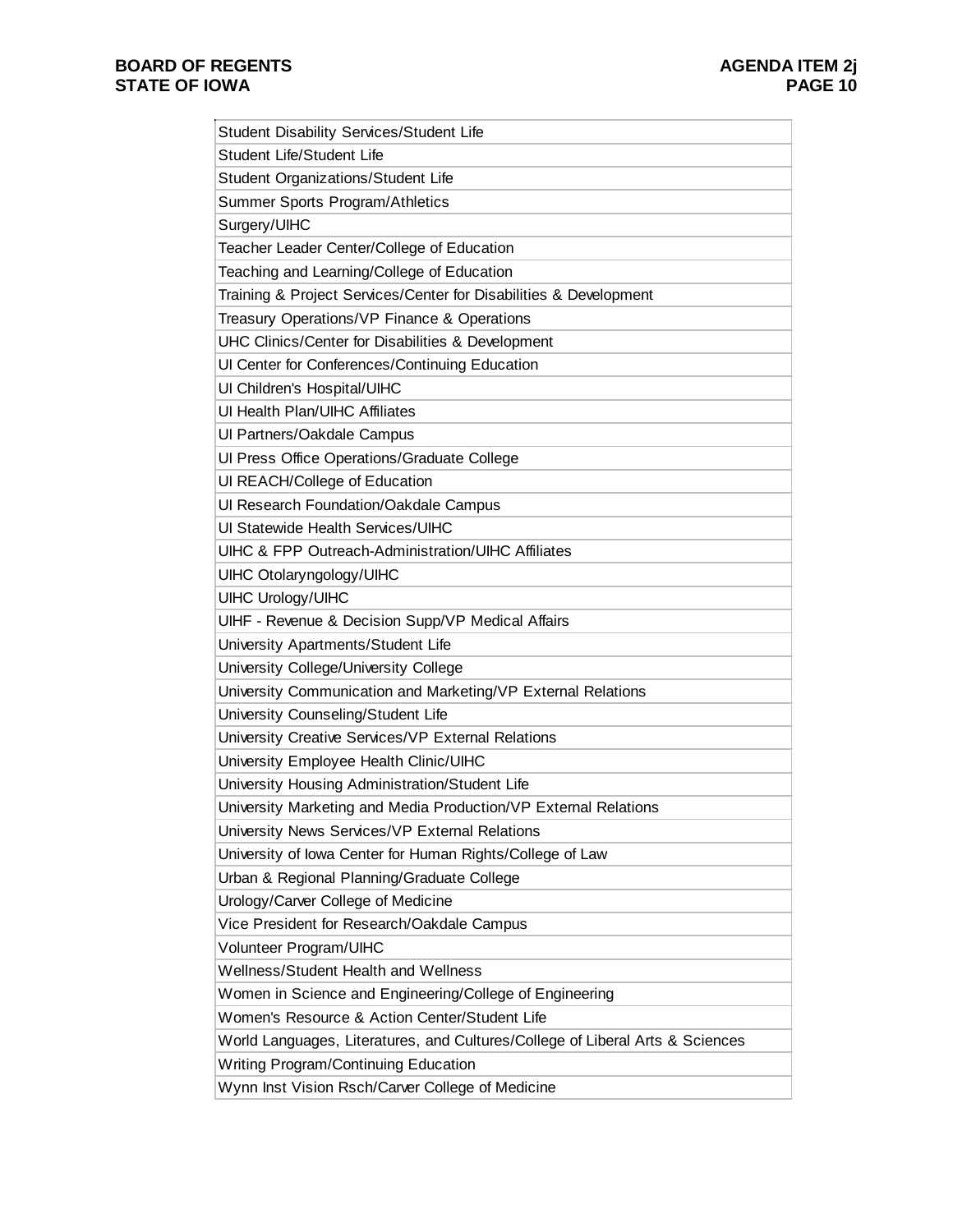| Student Disability Services/Student Life                                      |
|-------------------------------------------------------------------------------|
| Student Life/Student Life                                                     |
| Student Organizations/Student Life                                            |
| Summer Sports Program/Athletics                                               |
| Surgery/UIHC                                                                  |
| Teacher Leader Center/College of Education                                    |
| Teaching and Learning/College of Education                                    |
| Training & Project Services/Center for Disabilities & Development             |
| Treasury Operations/VP Finance & Operations                                   |
| UHC Clinics/Center for Disabilities & Development                             |
| Ul Center for Conferences/Continuing Education                                |
| Ul Children's Hospital/UIHC                                                   |
| UI Health Plan/UIHC Affiliates                                                |
| Ul Partners/Oakdale Campus                                                    |
| Ul Press Office Operations/Graduate College                                   |
| UI REACH/College of Education                                                 |
| Ul Research Foundation/Oakdale Campus                                         |
| UI Statewide Health Services/UIHC                                             |
| <b>UIHC &amp; FPP Outreach-Administration/UIHC Affiliates</b>                 |
| UIHC Otolaryngology/UIHC                                                      |
| <b>UIHC Urology/UIHC</b>                                                      |
| UIHF - Revenue & Decision Supp/VP Medical Affairs                             |
| University Apartments/Student Life                                            |
| University College/University College                                         |
| University Communication and Marketing/VP External Relations                  |
| University Counseling/Student Life                                            |
| University Creative Services/VP External Relations                            |
| University Employee Health Clinic/UIHC                                        |
| University Housing Administration/Student Life                                |
| University Marketing and Media Production/VP External Relations               |
| University News Services/VP External Relations                                |
| University of Iowa Center for Human Rights/College of Law                     |
| Urban & Regional Planning/Graduate College                                    |
| Urology/Carver College of Medicine                                            |
| Vice President for Research/Oakdale Campus                                    |
| Volunteer Program/UIHC                                                        |
| Wellness/Student Health and Wellness                                          |
| Women in Science and Engineering/College of Engineering                       |
| Women's Resource & Action Center/Student Life                                 |
| World Languages, Literatures, and Cultures/College of Liberal Arts & Sciences |
| Writing Program/Continuing Education                                          |
| Wynn Inst Vision Rsch/Carver College of Medicine                              |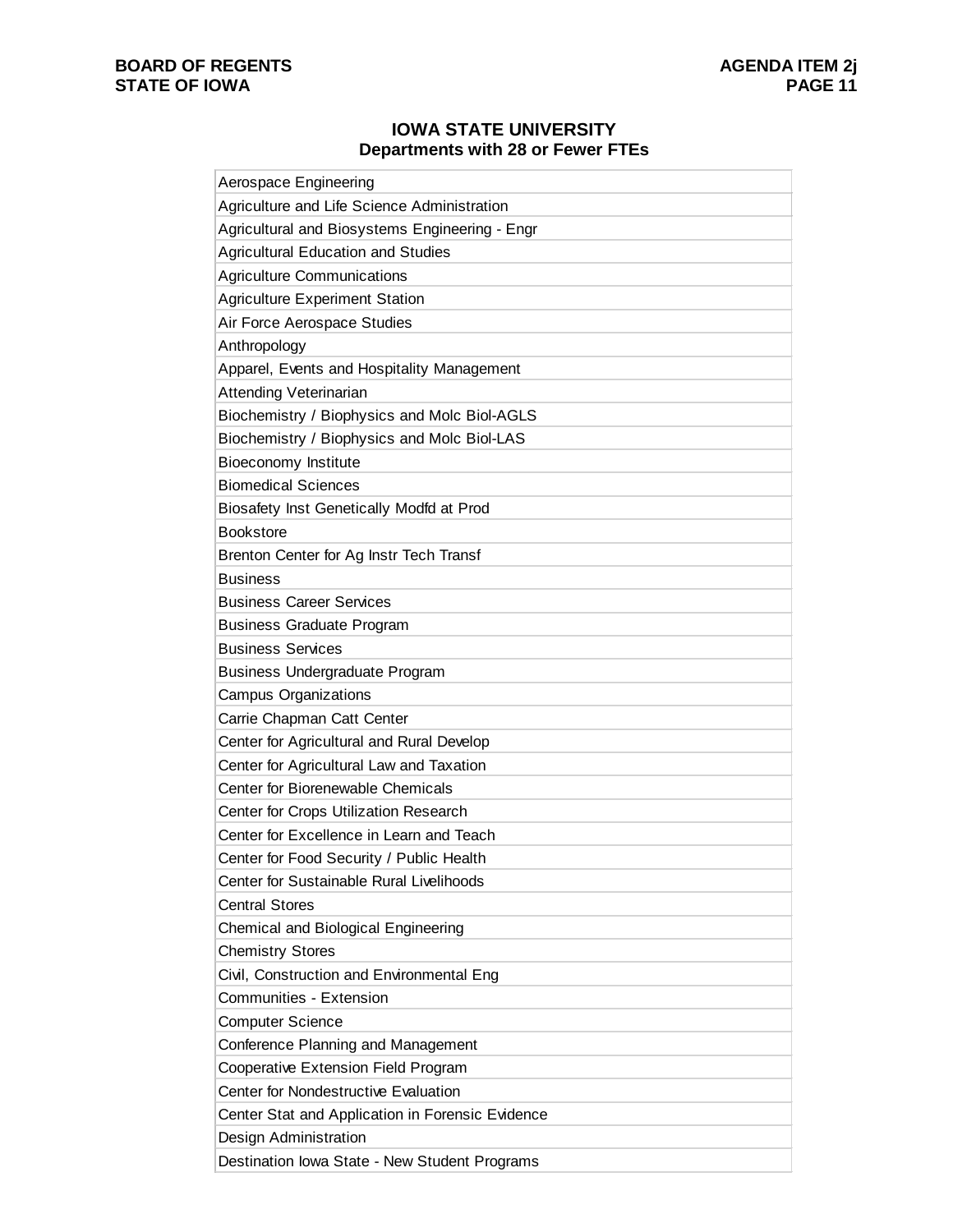## **IOWA STATE UNIVERSITY Departments with 28 or Fewer FTEs**

| Aerospace Engineering                            |
|--------------------------------------------------|
| Agriculture and Life Science Administration      |
| Agricultural and Biosystems Engineering - Engr   |
| <b>Agricultural Education and Studies</b>        |
| <b>Agriculture Communications</b>                |
| <b>Agriculture Experiment Station</b>            |
| Air Force Aerospace Studies                      |
| Anthropology                                     |
| Apparel, Events and Hospitality Management       |
| Attending Veterinarian                           |
| Biochemistry / Biophysics and Molc Biol-AGLS     |
| Biochemistry / Biophysics and Molc Biol-LAS      |
| Bioeconomy Institute                             |
| <b>Biomedical Sciences</b>                       |
| Biosafety Inst Genetically Modfd at Prod         |
| <b>Bookstore</b>                                 |
| Brenton Center for Ag Instr Tech Transf          |
| <b>Business</b>                                  |
| <b>Business Career Services</b>                  |
| <b>Business Graduate Program</b>                 |
| <b>Business Services</b>                         |
| <b>Business Undergraduate Program</b>            |
| <b>Campus Organizations</b>                      |
| Carrie Chapman Catt Center                       |
| Center for Agricultural and Rural Develop        |
| Center for Agricultural Law and Taxation         |
| Center for Biorenewable Chemicals                |
| Center for Crops Utilization Research            |
| Center for Excellence in Learn and Teach         |
| Center for Food Security / Public Health         |
| Center for Sustainable Rural Livelihoods         |
| <b>Central Stores</b>                            |
| Chemical and Biological Engineering              |
| <b>Chemistry Stores</b>                          |
| Civil, Construction and Environmental Eng        |
| Communities - Extension                          |
| <b>Computer Science</b>                          |
| Conference Planning and Management               |
| Cooperative Extension Field Program              |
| Center for Nondestructive Evaluation             |
| Center Stat and Application in Forensic Evidence |
| Design Administration                            |
| Destination Iowa State - New Student Programs    |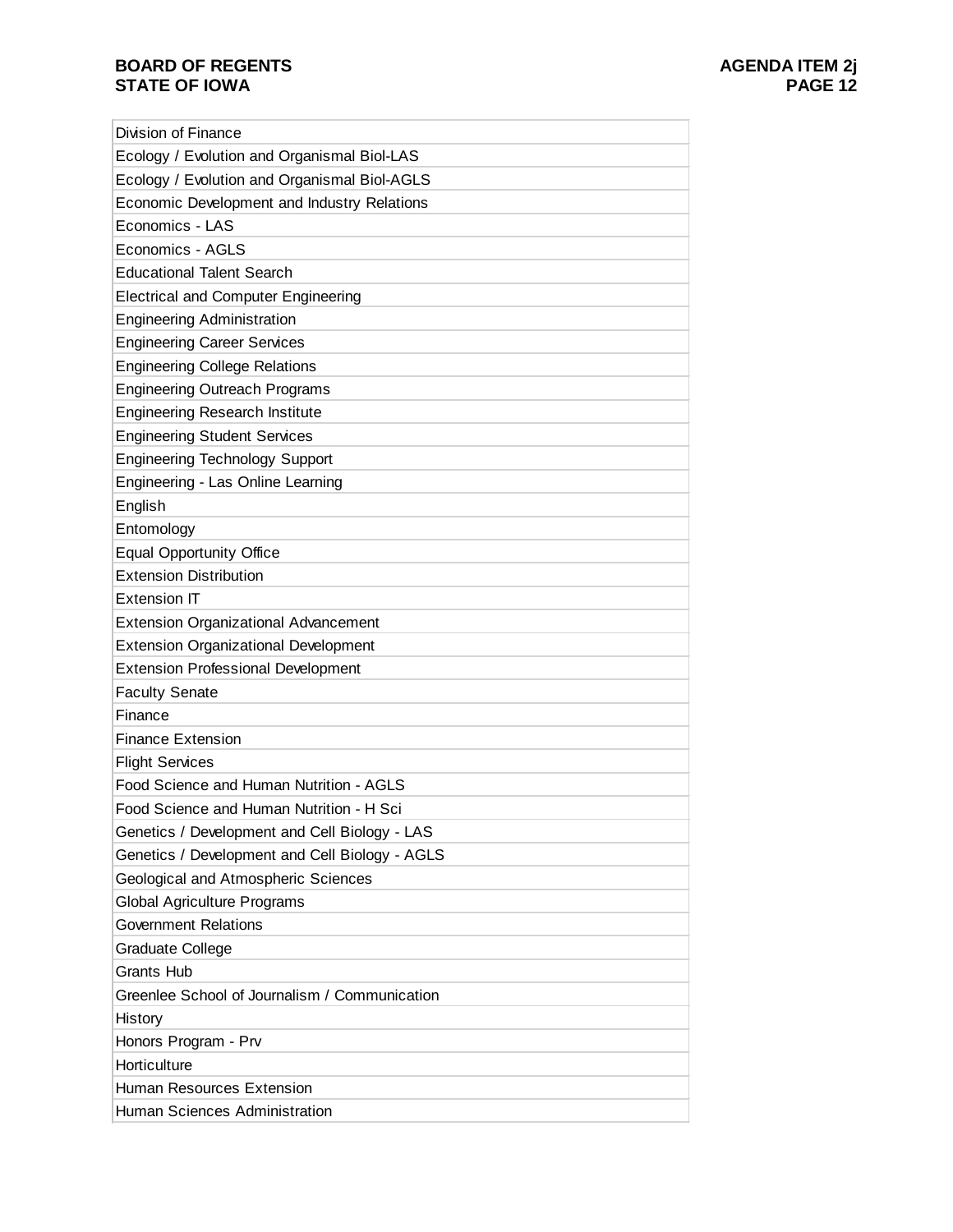# **BOARD OF REGENTS STATE OF IOWA**

| <b>Division of Finance</b>                     |
|------------------------------------------------|
| Ecology / Evolution and Organismal Biol-LAS    |
| Ecology / Evolution and Organismal Biol-AGLS   |
| Economic Development and Industry Relations    |
| Economics - LAS                                |
| Economics - AGLS                               |
| <b>Educational Talent Search</b>               |
| <b>Electrical and Computer Engineering</b>     |
| <b>Engineering Administration</b>              |
| <b>Engineering Career Services</b>             |
| <b>Engineering College Relations</b>           |
| <b>Engineering Outreach Programs</b>           |
| <b>Engineering Research Institute</b>          |
| <b>Engineering Student Services</b>            |
| <b>Engineering Technology Support</b>          |
| Engineering - Las Online Learning              |
| English                                        |
| Entomology                                     |
| <b>Equal Opportunity Office</b>                |
| <b>Extension Distribution</b>                  |
| Extension IT                                   |
| <b>Extension Organizational Advancement</b>    |
| <b>Extension Organizational Development</b>    |
| <b>Extension Professional Development</b>      |
| <b>Faculty Senate</b>                          |
| Finance                                        |
| <b>Finance Extension</b>                       |
| <b>Flight Services</b>                         |
| Food Science and Human Nutrition - AGLS        |
| Food Science and Human Nutrition - H Sci       |
| Genetics / Development and Cell Biology - LAS  |
| Genetics / Development and Cell Biology - AGLS |
| Geological and Atmospheric Sciences            |
| Global Agriculture Programs                    |
| <b>Government Relations</b>                    |
| Graduate College                               |
| <b>Grants Hub</b>                              |
| Greenlee School of Journalism / Communication  |
| History                                        |
| Honors Program - Prv                           |
| Horticulture                                   |
| Human Resources Extension                      |
| Human Sciences Administration                  |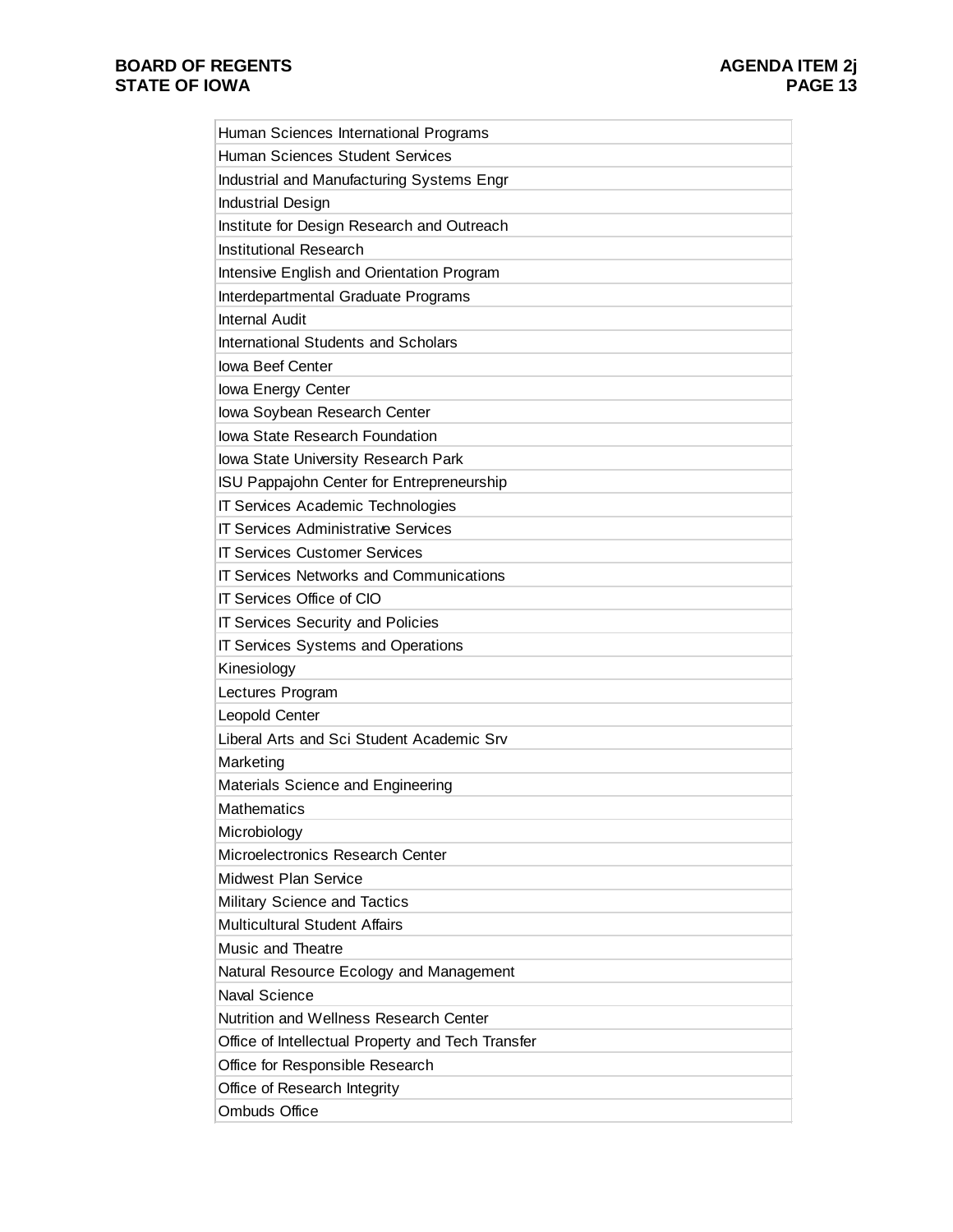| Human Sciences International Programs             |
|---------------------------------------------------|
| Human Sciences Student Services                   |
| Industrial and Manufacturing Systems Engr         |
| <b>Industrial Design</b>                          |
| Institute for Design Research and Outreach        |
| <b>Institutional Research</b>                     |
| Intensive English and Orientation Program         |
| Interdepartmental Graduate Programs               |
| <b>Internal Audit</b>                             |
| <b>International Students and Scholars</b>        |
| <b>Iowa Beef Center</b>                           |
| lowa Energy Center                                |
| lowa Soybean Research Center                      |
| <b>Iowa State Research Foundation</b>             |
| lowa State University Research Park               |
| ISU Pappajohn Center for Entrepreneurship         |
| IT Services Academic Technologies                 |
| <b>IT Services Administrative Services</b>        |
| <b>IT Services Customer Services</b>              |
| <b>IT Services Networks and Communications</b>    |
| IT Services Office of CIO                         |
| <b>IT Services Security and Policies</b>          |
| IT Services Systems and Operations                |
| Kinesiology                                       |
| Lectures Program                                  |
| Leopold Center                                    |
| Liberal Arts and Sci Student Academic Srv         |
| Marketing                                         |
| Materials Science and Engineering                 |
| <b>Mathematics</b>                                |
| Microbiology                                      |
| Microelectronics Research Center                  |
| Midwest Plan Service                              |
| Military Science and Tactics                      |
| <b>Multicultural Student Affairs</b>              |
| Music and Theatre                                 |
| Natural Resource Ecology and Management           |
| <b>Naval Science</b>                              |
| Nutrition and Wellness Research Center            |
| Office of Intellectual Property and Tech Transfer |
| Office for Responsible Research                   |
| Office of Research Integrity                      |
| <b>Ombuds Office</b>                              |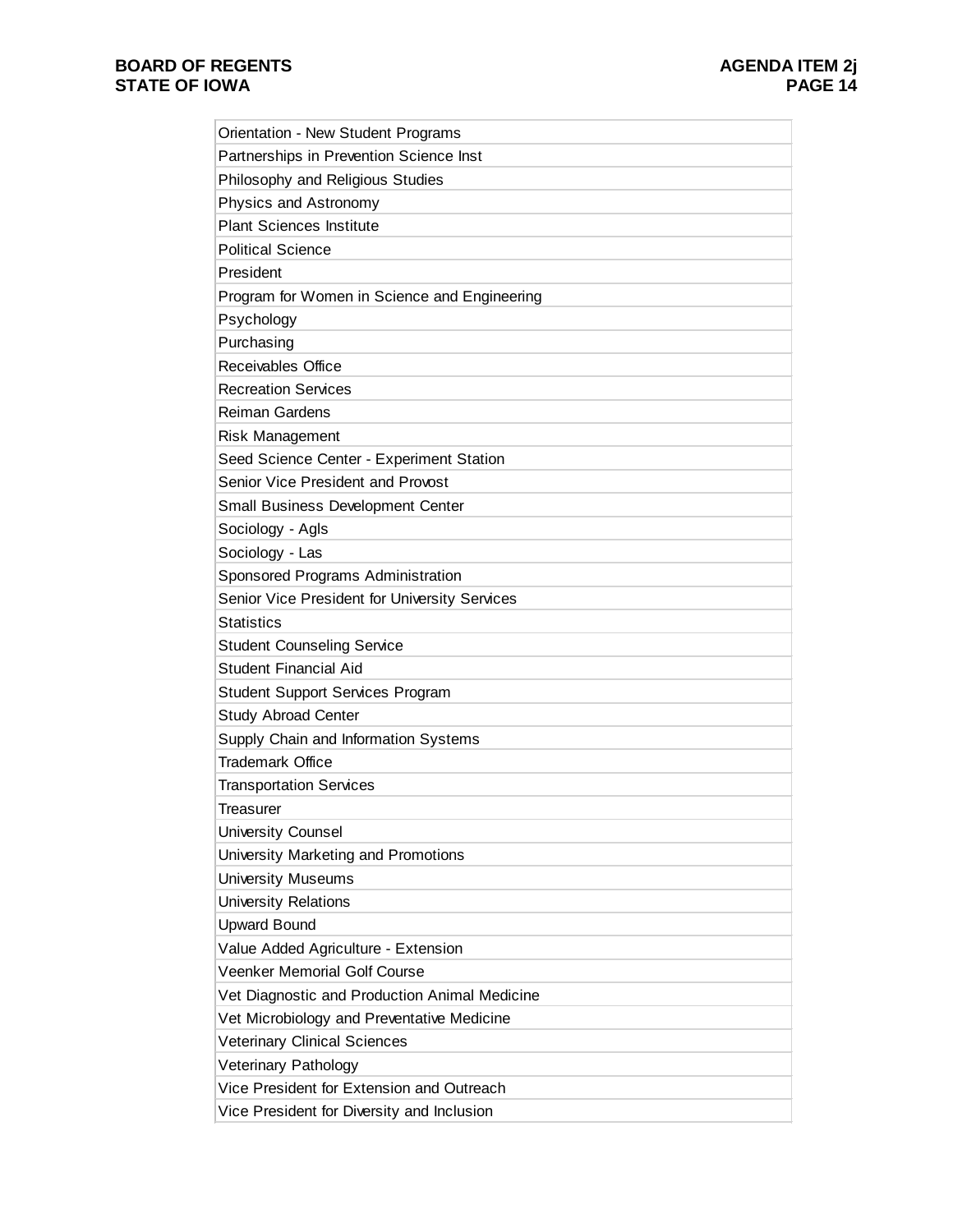| Orientation - New Student Programs            |
|-----------------------------------------------|
| Partnerships in Prevention Science Inst       |
| Philosophy and Religious Studies              |
| Physics and Astronomy                         |
| <b>Plant Sciences Institute</b>               |
| <b>Political Science</b>                      |
| President                                     |
| Program for Women in Science and Engineering  |
| Psychology                                    |
| Purchasing                                    |
| <b>Receivables Office</b>                     |
| <b>Recreation Services</b>                    |
| <b>Reiman Gardens</b>                         |
| Risk Management                               |
| Seed Science Center - Experiment Station      |
| Senior Vice President and Provost             |
| Small Business Development Center             |
| Sociology - Agls                              |
| Sociology - Las                               |
| Sponsored Programs Administration             |
| Senior Vice President for University Services |
| <b>Statistics</b>                             |
| <b>Student Counseling Service</b>             |
| <b>Student Financial Aid</b>                  |
| <b>Student Support Services Program</b>       |
| Study Abroad Center                           |
| Supply Chain and Information Systems          |
| <b>Trademark Office</b>                       |
| <b>Transportation Services</b>                |
| Treasurer                                     |
| <b>University Counsel</b>                     |
| University Marketing and Promotions           |
| <b>University Museums</b>                     |
| <b>University Relations</b>                   |
| <b>Upward Bound</b>                           |
| Value Added Agriculture - Extension           |
| <b>Veenker Memorial Golf Course</b>           |
| Vet Diagnostic and Production Animal Medicine |
| Vet Microbiology and Preventative Medicine    |
| <b>Veterinary Clinical Sciences</b>           |
| Veterinary Pathology                          |
| Vice President for Extension and Outreach     |
| Vice President for Diversity and Inclusion    |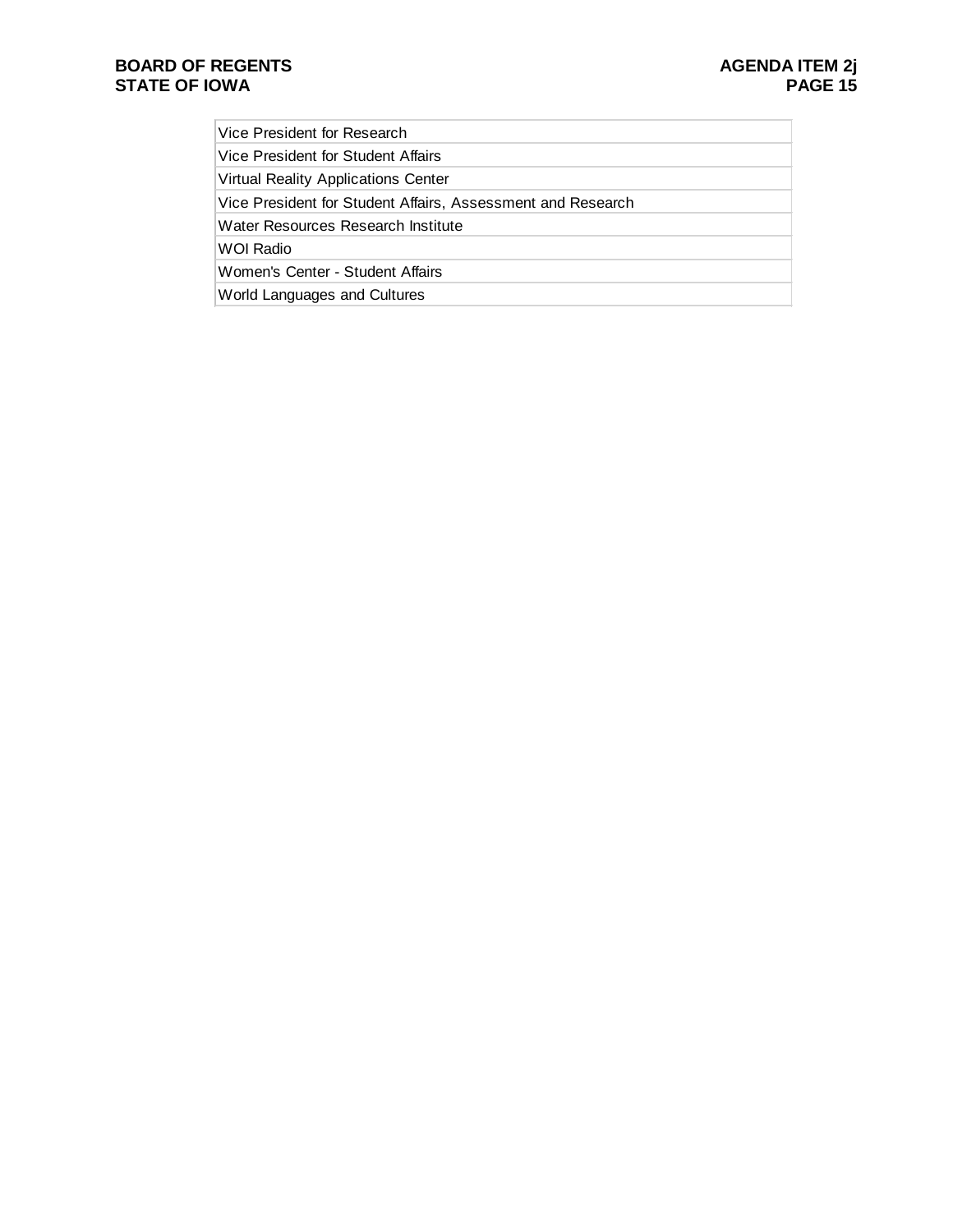Vice President for Research

Vice President for Student Affairs

Virtual Reality Applications Center

Vice President for Student Affairs, Assessment and Research

Water Resources Research Institute

WOI Radio

Women's Center - Student Affairs

World Languages and Cultures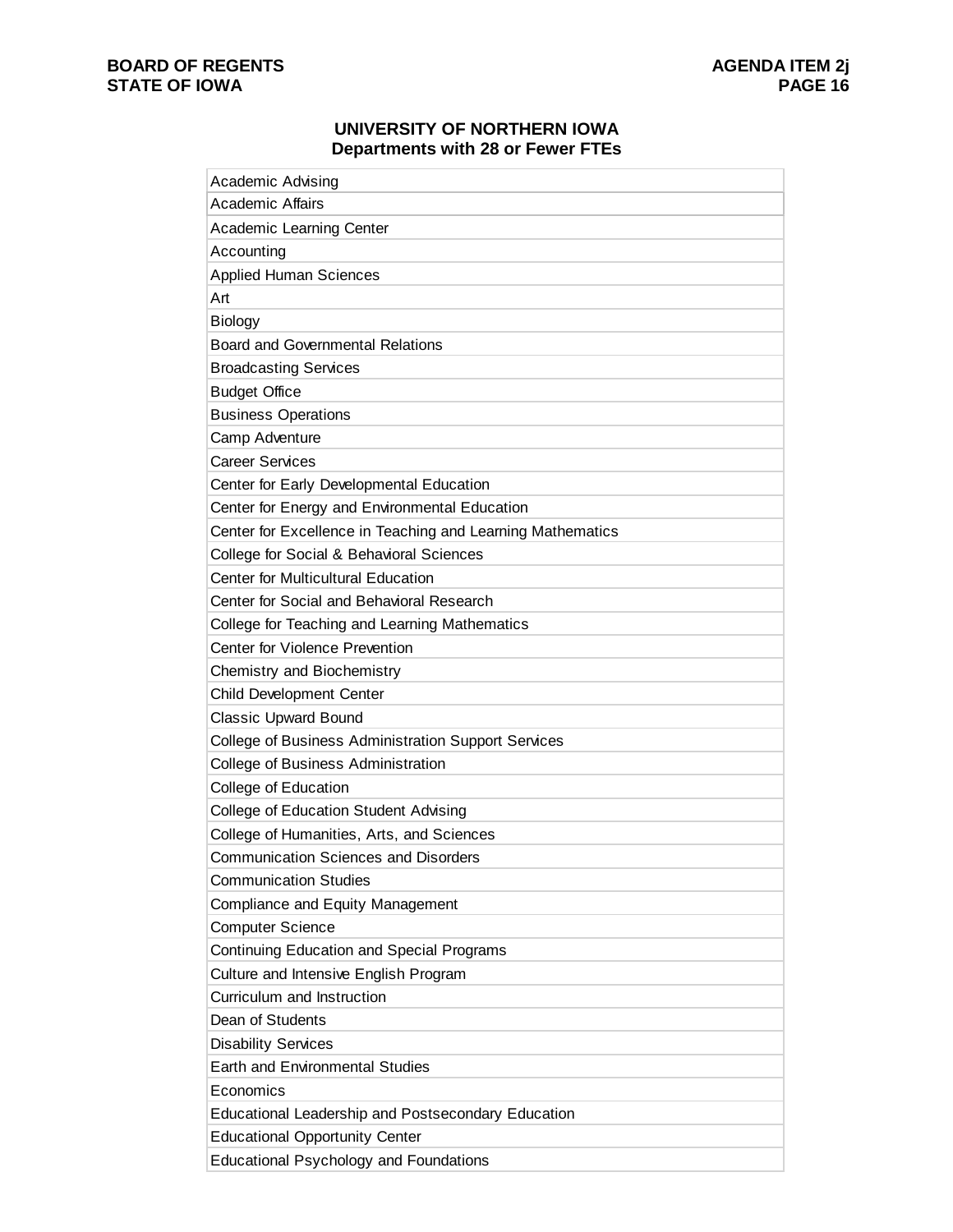### **UNIVERSITY OF NORTHERN IOWA Departments with 28 or Fewer FTEs**

| Academic Advising                                          |
|------------------------------------------------------------|
| <b>Academic Affairs</b>                                    |
| <b>Academic Learning Center</b>                            |
| Accounting                                                 |
| <b>Applied Human Sciences</b>                              |
| Art                                                        |
| <b>Biology</b>                                             |
| <b>Board and Governmental Relations</b>                    |
| <b>Broadcasting Services</b>                               |
| <b>Budget Office</b>                                       |
| <b>Business Operations</b>                                 |
| Camp Adventure                                             |
| <b>Career Services</b>                                     |
| Center for Early Developmental Education                   |
| Center for Energy and Environmental Education              |
| Center for Excellence in Teaching and Learning Mathematics |
| College for Social & Behavioral Sciences                   |
| <b>Center for Multicultural Education</b>                  |
| Center for Social and Behavioral Research                  |
| College for Teaching and Learning Mathematics              |
| Center for Violence Prevention                             |
| Chemistry and Biochemistry                                 |
| <b>Child Development Center</b>                            |
| <b>Classic Upward Bound</b>                                |
| <b>College of Business Administration Support Services</b> |
| College of Business Administration                         |
| College of Education                                       |
| <b>College of Education Student Advising</b>               |
| College of Humanities, Arts, and Sciences                  |
| <b>Communication Sciences and Disorders</b>                |
| <b>Communication Studies</b>                               |
| Compliance and Equity Management                           |
| <b>Computer Science</b>                                    |
| <b>Continuing Education and Special Programs</b>           |
| Culture and Intensive English Program                      |
| Curriculum and Instruction                                 |
| Dean of Students                                           |
| <b>Disability Services</b>                                 |
| <b>Earth and Environmental Studies</b>                     |
| Economics                                                  |
| <b>Educational Leadership and Postsecondary Education</b>  |
| <b>Educational Opportunity Center</b>                      |
| <b>Educational Psychology and Foundations</b>              |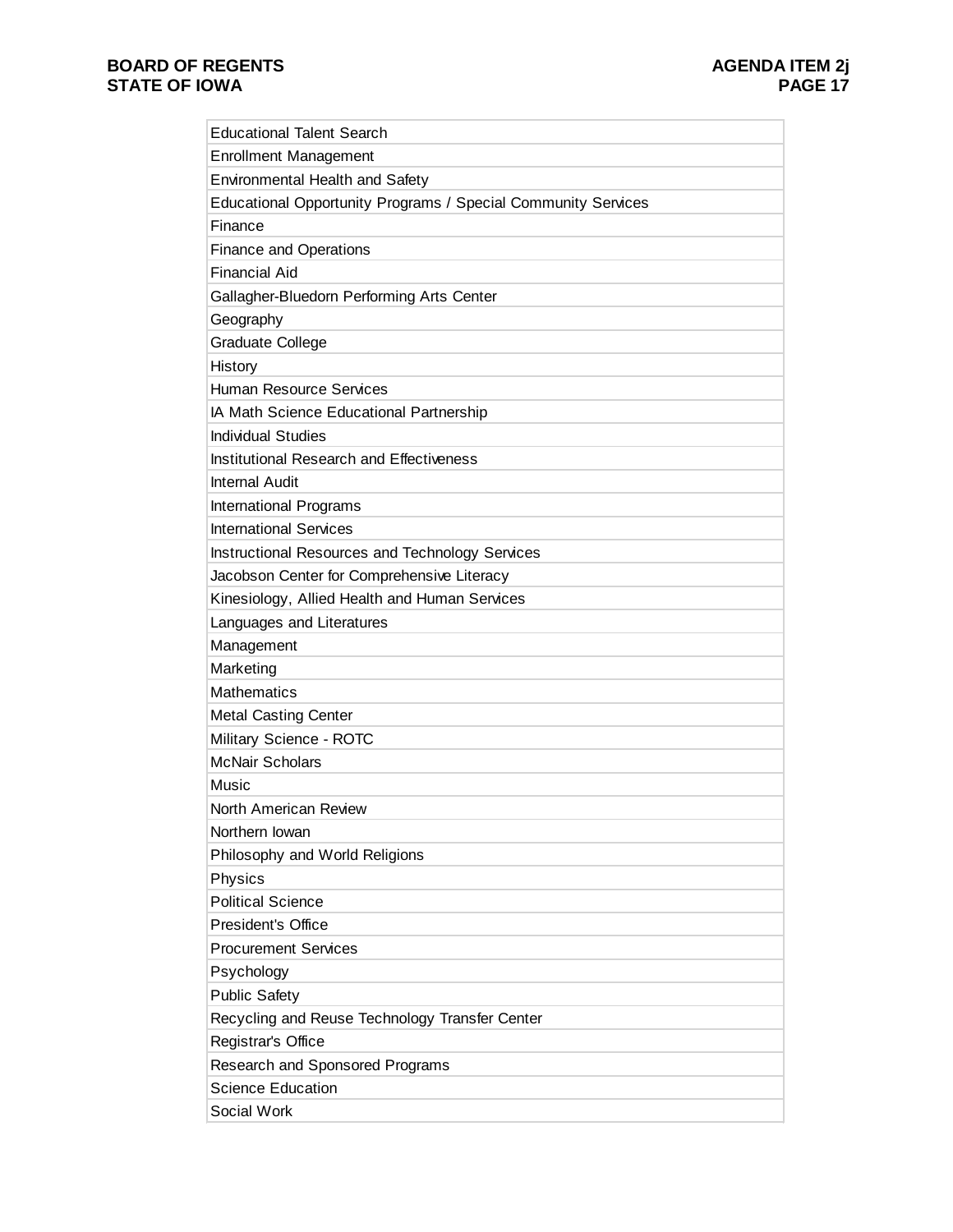| <b>Educational Talent Search</b>                              |
|---------------------------------------------------------------|
| <b>Enrollment Management</b>                                  |
| <b>Environmental Health and Safety</b>                        |
| Educational Opportunity Programs / Special Community Services |
| Finance                                                       |
| <b>Finance and Operations</b>                                 |
| <b>Financial Aid</b>                                          |
| Gallagher-Bluedorn Performing Arts Center                     |
| Geography                                                     |
| <b>Graduate College</b>                                       |
| History                                                       |
| <b>Human Resource Services</b>                                |
| IA Math Science Educational Partnership                       |
| <b>Individual Studies</b>                                     |
| Institutional Research and Effectiveness                      |
| <b>Internal Audit</b>                                         |
| International Programs                                        |
| <b>International Services</b>                                 |
| Instructional Resources and Technology Services               |
| Jacobson Center for Comprehensive Literacy                    |
| Kinesiology, Allied Health and Human Services                 |
| Languages and Literatures                                     |
| Management                                                    |
| Marketing                                                     |
| <b>Mathematics</b>                                            |
| <b>Metal Casting Center</b>                                   |
| Military Science - ROTC                                       |
| <b>McNair Scholars</b>                                        |
| Music                                                         |
| North American Review                                         |
| Northern Iowan                                                |
| Philosophy and World Religions                                |
| Physics                                                       |
| <b>Political Science</b>                                      |
| <b>President's Office</b>                                     |
| <b>Procurement Services</b>                                   |
| Psychology                                                    |
| <b>Public Safety</b>                                          |
| Recycling and Reuse Technology Transfer Center                |
| Registrar's Office                                            |
| Research and Sponsored Programs                               |
| <b>Science Education</b>                                      |
| Social Work                                                   |